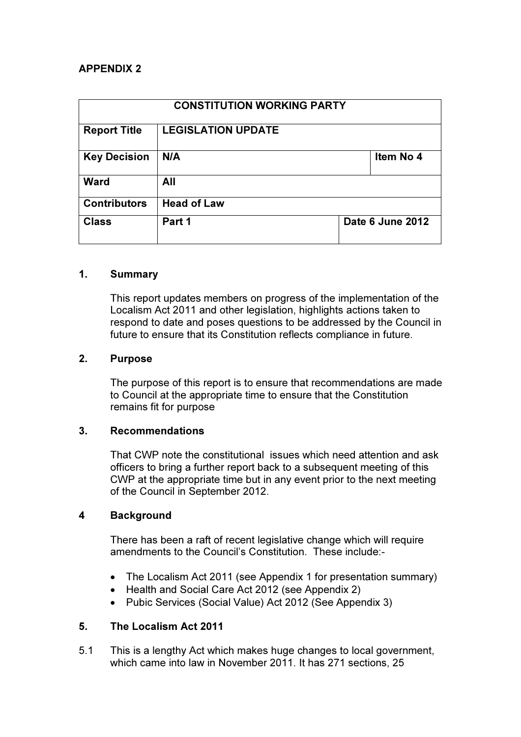# APPENDIX 2

| <b>CONSTITUTION WORKING PARTY</b> |                           |                  |           |
|-----------------------------------|---------------------------|------------------|-----------|
| <b>Report Title</b>               | <b>LEGISLATION UPDATE</b> |                  |           |
| <b>Key Decision</b>               | N/A                       |                  | Item No 4 |
| <b>Ward</b>                       | All                       |                  |           |
| <b>Contributors</b>               | <b>Head of Law</b>        |                  |           |
| <b>Class</b>                      | Part 1                    | Date 6 June 2012 |           |

## 1. Summary

This report updates members on progress of the implementation of the Localism Act 2011 and other legislation, highlights actions taken to respond to date and poses questions to be addressed by the Council in future to ensure that its Constitution reflects compliance in future.

## 2. Purpose

The purpose of this report is to ensure that recommendations are made to Council at the appropriate time to ensure that the Constitution remains fit for purpose

## 3. Recommendations

That CWP note the constitutional issues which need attention and ask officers to bring a further report back to a subsequent meeting of this CWP at the appropriate time but in any event prior to the next meeting of the Council in September 2012.

## 4 Background

There has been a raft of recent legislative change which will require amendments to the Council's Constitution. These include:-

- The Localism Act 2011 (see Appendix 1 for presentation summary)
- Health and Social Care Act 2012 (see Appendix 2)
- Pubic Services (Social Value) Act 2012 (See Appendix 3)

# 5. The Localism Act 2011

5.1 This is a lengthy Act which makes huge changes to local government, which came into law in November 2011. It has 271 sections, 25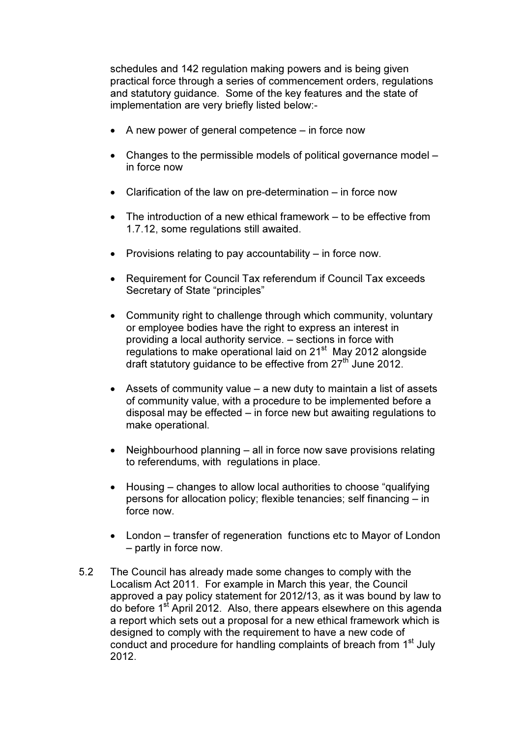schedules and 142 regulation making powers and is being given practical force through a series of commencement orders, regulations and statutory guidance. Some of the key features and the state of implementation are very briefly listed below:-

- A new power of general competence in force now
- Changes to the permissible models of political governance model in force now
- Clarification of the law on pre-determination in force now
- The introduction of a new ethical framework to be effective from 1.7.12, some regulations still awaited.
- Provisions relating to pay accountability in force now.
- Requirement for Council Tax referendum if Council Tax exceeds Secretary of State "principles"
- Community right to challenge through which community, voluntary or employee bodies have the right to express an interest in providing a local authority service. – sections in force with regulations to make operational laid on  $21<sup>st</sup>$  May 2012 alongside draft statutory quidance to be effective from 27<sup>th</sup> June 2012.
- Assets of community value a new duty to maintain a list of assets of community value, with a procedure to be implemented before a disposal may be effected – in force new but awaiting regulations to make operational.
- Neighbourhood planning all in force now save provisions relating to referendums, with regulations in place.
- Housing changes to allow local authorities to choose "qualifying" persons for allocation policy; flexible tenancies; self financing – in force now.
- London transfer of regeneration functions etc to Mayor of London – partly in force now.
- 5.2 The Council has already made some changes to comply with the Localism Act 2011. For example in March this year, the Council approved a pay policy statement for 2012/13, as it was bound by law to do before 1st April 2012. Also, there appears elsewhere on this agenda a report which sets out a proposal for a new ethical framework which is designed to comply with the requirement to have a new code of conduct and procedure for handling complaints of breach from 1<sup>st</sup> July 2012.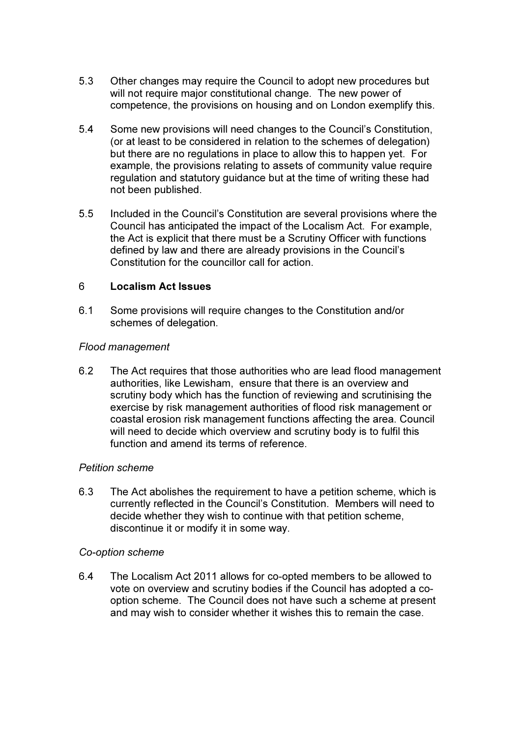- 5.3 Other changes may require the Council to adopt new procedures but will not require major constitutional change. The new power of competence, the provisions on housing and on London exemplify this.
- 5.4 Some new provisions will need changes to the Council's Constitution, (or at least to be considered in relation to the schemes of delegation) but there are no regulations in place to allow this to happen yet. For example, the provisions relating to assets of community value require regulation and statutory guidance but at the time of writing these had not been published.
- 5.5 Included in the Council's Constitution are several provisions where the Council has anticipated the impact of the Localism Act. For example, the Act is explicit that there must be a Scrutiny Officer with functions defined by law and there are already provisions in the Council's Constitution for the councillor call for action.

## 6 Localism Act Issues

6.1 Some provisions will require changes to the Constitution and/or schemes of delegation.

#### Flood management

6.2 The Act requires that those authorities who are lead flood management authorities, like Lewisham, ensure that there is an overview and scrutiny body which has the function of reviewing and scrutinising the exercise by risk management authorities of flood risk management or coastal erosion risk management functions affecting the area. Council will need to decide which overview and scrutiny body is to fulfil this function and amend its terms of reference.

## Petition scheme

6.3 The Act abolishes the requirement to have a petition scheme, which is currently reflected in the Council's Constitution. Members will need to decide whether they wish to continue with that petition scheme, discontinue it or modify it in some way.

## Co-option scheme

6.4 The Localism Act 2011 allows for co-opted members to be allowed to vote on overview and scrutiny bodies if the Council has adopted a cooption scheme. The Council does not have such a scheme at present and may wish to consider whether it wishes this to remain the case.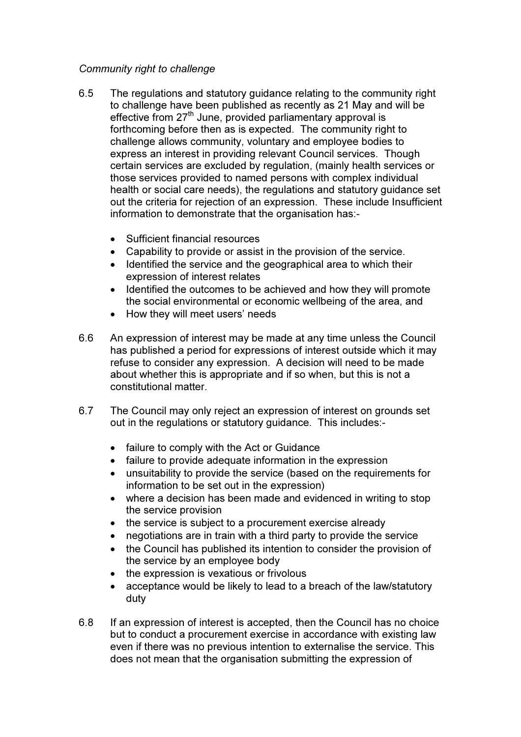## Community right to challenge

- 6.5 The regulations and statutory guidance relating to the community right to challenge have been published as recently as 21 May and will be effective from  $27<sup>th</sup>$  June, provided parliamentary approval is forthcoming before then as is expected. The community right to challenge allows community, voluntary and employee bodies to express an interest in providing relevant Council services. Though certain services are excluded by regulation, (mainly health services or those services provided to named persons with complex individual health or social care needs), the regulations and statutory guidance set out the criteria for rejection of an expression. These include Insufficient information to demonstrate that the organisation has:-
	- Sufficient financial resources
	- Capability to provide or assist in the provision of the service.
	- Identified the service and the geographical area to which their expression of interest relates
	- Identified the outcomes to be achieved and how they will promote the social environmental or economic wellbeing of the area, and
	- How they will meet users' needs
- 6.6 An expression of interest may be made at any time unless the Council has published a period for expressions of interest outside which it may refuse to consider any expression. A decision will need to be made about whether this is appropriate and if so when, but this is not a constitutional matter.
- 6.7 The Council may only reject an expression of interest on grounds set out in the regulations or statutory guidance. This includes:-
	- failure to comply with the Act or Guidance
	- failure to provide adequate information in the expression
	- unsuitability to provide the service (based on the requirements for information to be set out in the expression)
	- where a decision has been made and evidenced in writing to stop the service provision
	- the service is subject to a procurement exercise already
	- negotiations are in train with a third party to provide the service
	- the Council has published its intention to consider the provision of the service by an employee body
	- the expression is vexatious or frivolous
	- acceptance would be likely to lead to a breach of the law/statutory duty
- 6.8 If an expression of interest is accepted, then the Council has no choice but to conduct a procurement exercise in accordance with existing law even if there was no previous intention to externalise the service. This does not mean that the organisation submitting the expression of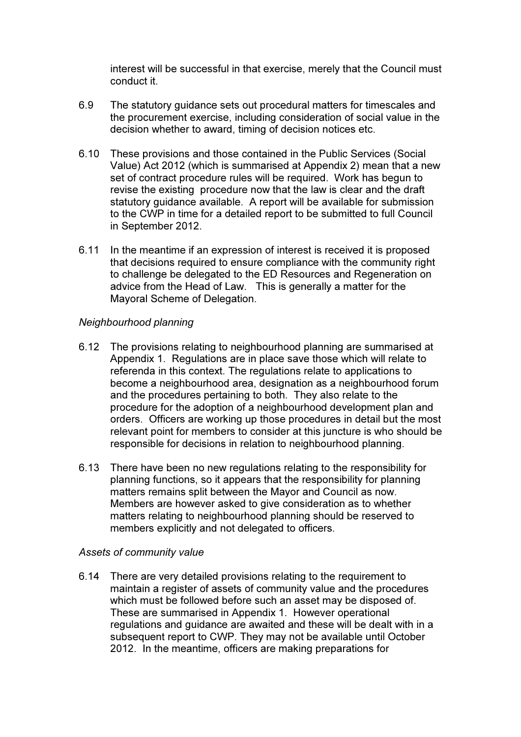interest will be successful in that exercise, merely that the Council must conduct it.

- 6.9 The statutory guidance sets out procedural matters for timescales and the procurement exercise, including consideration of social value in the decision whether to award, timing of decision notices etc.
- 6.10 These provisions and those contained in the Public Services (Social Value) Act 2012 (which is summarised at Appendix 2) mean that a new set of contract procedure rules will be required. Work has begun to revise the existing procedure now that the law is clear and the draft statutory guidance available. A report will be available for submission to the CWP in time for a detailed report to be submitted to full Council in September 2012.
- 6.11 In the meantime if an expression of interest is received it is proposed that decisions required to ensure compliance with the community right to challenge be delegated to the ED Resources and Regeneration on advice from the Head of Law. This is generally a matter for the Mayoral Scheme of Delegation.

#### Neighbourhood planning

- 6.12 The provisions relating to neighbourhood planning are summarised at Appendix 1. Regulations are in place save those which will relate to referenda in this context. The regulations relate to applications to become a neighbourhood area, designation as a neighbourhood forum and the procedures pertaining to both. They also relate to the procedure for the adoption of a neighbourhood development plan and orders. Officers are working up those procedures in detail but the most relevant point for members to consider at this juncture is who should be responsible for decisions in relation to neighbourhood planning.
- 6.13 There have been no new regulations relating to the responsibility for planning functions, so it appears that the responsibility for planning matters remains split between the Mayor and Council as now. Members are however asked to give consideration as to whether matters relating to neighbourhood planning should be reserved to members explicitly and not delegated to officers.

#### Assets of community value

6.14 There are very detailed provisions relating to the requirement to maintain a register of assets of community value and the procedures which must be followed before such an asset may be disposed of. These are summarised in Appendix 1. However operational regulations and guidance are awaited and these will be dealt with in a subsequent report to CWP. They may not be available until October 2012. In the meantime, officers are making preparations for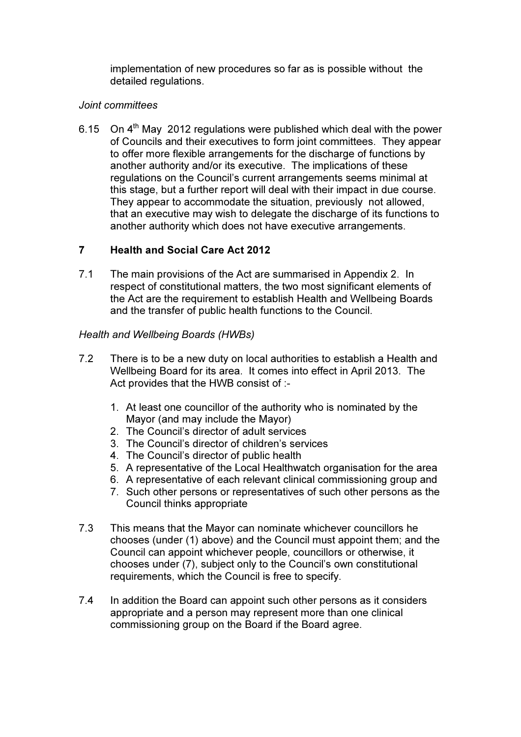implementation of new procedures so far as is possible without the detailed regulations.

## Joint committees

6.15 On  $4<sup>th</sup>$  May 2012 regulations were published which deal with the power of Councils and their executives to form joint committees. They appear to offer more flexible arrangements for the discharge of functions by another authority and/or its executive. The implications of these regulations on the Council's current arrangements seems minimal at this stage, but a further report will deal with their impact in due course. They appear to accommodate the situation, previously not allowed, that an executive may wish to delegate the discharge of its functions to another authority which does not have executive arrangements.

# 7 Health and Social Care Act 2012

7.1 The main provisions of the Act are summarised in Appendix 2. In respect of constitutional matters, the two most significant elements of the Act are the requirement to establish Health and Wellbeing Boards and the transfer of public health functions to the Council.

# Health and Wellbeing Boards (HWBs)

- 7.2 There is to be a new duty on local authorities to establish a Health and Wellbeing Board for its area. It comes into effect in April 2013. The Act provides that the HWB consist of :-
	- 1. At least one councillor of the authority who is nominated by the Mayor (and may include the Mayor)
	- 2. The Council's director of adult services
	- 3. The Council's director of children's services
	- 4. The Council's director of public health
	- 5. A representative of the Local Healthwatch organisation for the area
	- 6. A representative of each relevant clinical commissioning group and
	- 7. Such other persons or representatives of such other persons as the Council thinks appropriate
- 7.3 This means that the Mayor can nominate whichever councillors he chooses (under (1) above) and the Council must appoint them; and the Council can appoint whichever people, councillors or otherwise, it chooses under (7), subject only to the Council's own constitutional requirements, which the Council is free to specify.
- 7.4 In addition the Board can appoint such other persons as it considers appropriate and a person may represent more than one clinical commissioning group on the Board if the Board agree.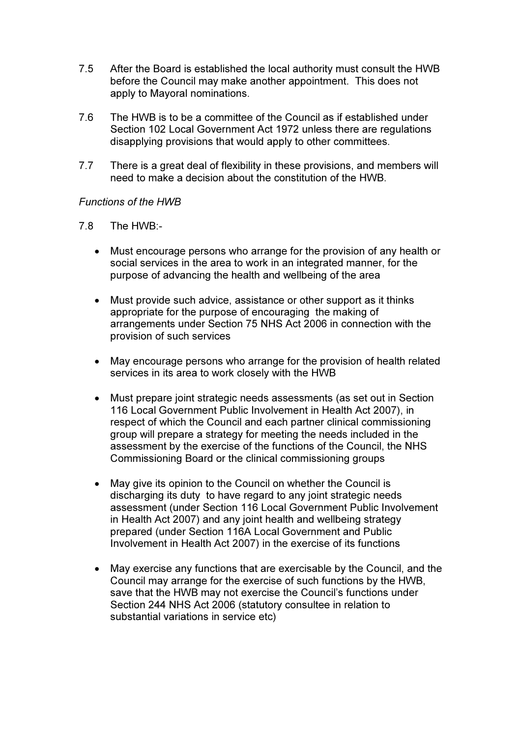- 7.5 After the Board is established the local authority must consult the HWB before the Council may make another appointment. This does not apply to Mayoral nominations.
- 7.6 The HWB is to be a committee of the Council as if established under Section 102 Local Government Act 1972 unless there are regulations disapplying provisions that would apply to other committees.
- 7.7 There is a great deal of flexibility in these provisions, and members will need to make a decision about the constitution of the HWB.

#### Functions of the HWB

- 7.8 The HWB:-
	- Must encourage persons who arrange for the provision of any health or social services in the area to work in an integrated manner, for the purpose of advancing the health and wellbeing of the area
	- Must provide such advice, assistance or other support as it thinks appropriate for the purpose of encouraging the making of arrangements under Section 75 NHS Act 2006 in connection with the provision of such services
	- May encourage persons who arrange for the provision of health related services in its area to work closely with the HWB
	- Must prepare joint strategic needs assessments (as set out in Section 116 Local Government Public Involvement in Health Act 2007), in respect of which the Council and each partner clinical commissioning group will prepare a strategy for meeting the needs included in the assessment by the exercise of the functions of the Council, the NHS Commissioning Board or the clinical commissioning groups
	- May give its opinion to the Council on whether the Council is discharging its duty to have regard to any joint strategic needs assessment (under Section 116 Local Government Public Involvement in Health Act 2007) and any joint health and wellbeing strategy prepared (under Section 116A Local Government and Public Involvement in Health Act 2007) in the exercise of its functions
	- May exercise any functions that are exercisable by the Council, and the Council may arrange for the exercise of such functions by the HWB, save that the HWB may not exercise the Council's functions under Section 244 NHS Act 2006 (statutory consultee in relation to substantial variations in service etc)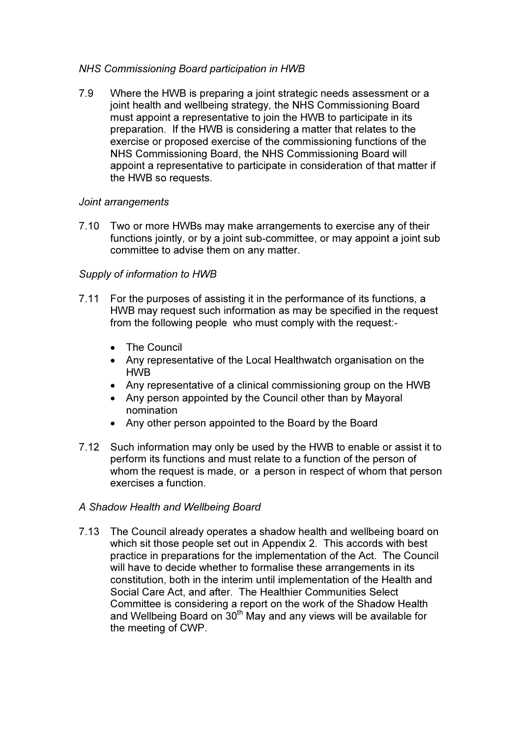## NHS Commissioning Board participation in HWB

7.9 Where the HWB is preparing a joint strategic needs assessment or a joint health and wellbeing strategy, the NHS Commissioning Board must appoint a representative to join the HWB to participate in its preparation. If the HWB is considering a matter that relates to the exercise or proposed exercise of the commissioning functions of the NHS Commissioning Board, the NHS Commissioning Board will appoint a representative to participate in consideration of that matter if the HWB so requests.

## Joint arrangements

7.10 Two or more HWBs may make arrangements to exercise any of their functions jointly, or by a joint sub-committee, or may appoint a joint sub committee to advise them on any matter.

## Supply of information to HWB

- 7.11 For the purposes of assisting it in the performance of its functions, a HWB may request such information as may be specified in the request from the following people who must comply with the request:-
	- The Council
	- Any representative of the Local Healthwatch organisation on the HWB
	- Any representative of a clinical commissioning group on the HWB
	- Any person appointed by the Council other than by Mayoral nomination
	- Any other person appointed to the Board by the Board
- 7.12 Such information may only be used by the HWB to enable or assist it to perform its functions and must relate to a function of the person of whom the request is made, or a person in respect of whom that person exercises a function.

## A Shadow Health and Wellbeing Board

7.13 The Council already operates a shadow health and wellbeing board on which sit those people set out in Appendix 2. This accords with best practice in preparations for the implementation of the Act. The Council will have to decide whether to formalise these arrangements in its constitution, both in the interim until implementation of the Health and Social Care Act, and after. The Healthier Communities Select Committee is considering a report on the work of the Shadow Health and Wellbeing Board on  $30<sup>th</sup>$  May and any views will be available for the meeting of CWP.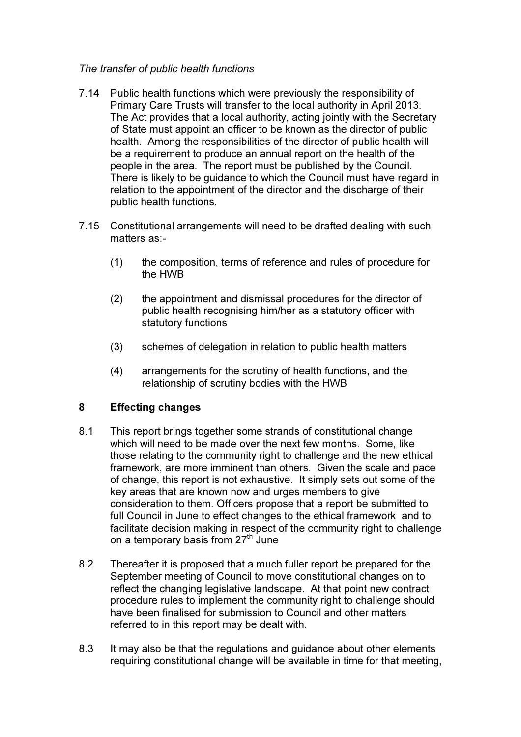## The transfer of public health functions

- 7.14 Public health functions which were previously the responsibility of Primary Care Trusts will transfer to the local authority in April 2013. The Act provides that a local authority, acting jointly with the Secretary of State must appoint an officer to be known as the director of public health. Among the responsibilities of the director of public health will be a requirement to produce an annual report on the health of the people in the area. The report must be published by the Council. There is likely to be guidance to which the Council must have regard in relation to the appointment of the director and the discharge of their public health functions.
- 7.15 Constitutional arrangements will need to be drafted dealing with such matters as:-
	- (1) the composition, terms of reference and rules of procedure for the HWB
	- (2) the appointment and dismissal procedures for the director of public health recognising him/her as a statutory officer with statutory functions
	- (3) schemes of delegation in relation to public health matters
	- (4) arrangements for the scrutiny of health functions, and the relationship of scrutiny bodies with the HWB

# 8 Effecting changes

- 8.1 This report brings together some strands of constitutional change which will need to be made over the next few months. Some, like those relating to the community right to challenge and the new ethical framework, are more imminent than others. Given the scale and pace of change, this report is not exhaustive. It simply sets out some of the key areas that are known now and urges members to give consideration to them. Officers propose that a report be submitted to full Council in June to effect changes to the ethical framework and to facilitate decision making in respect of the community right to challenge on a temporary basis from 27<sup>th</sup> June
- 8.2 Thereafter it is proposed that a much fuller report be prepared for the September meeting of Council to move constitutional changes on to reflect the changing legislative landscape. At that point new contract procedure rules to implement the community right to challenge should have been finalised for submission to Council and other matters referred to in this report may be dealt with.
- 8.3 It may also be that the regulations and guidance about other elements requiring constitutional change will be available in time for that meeting,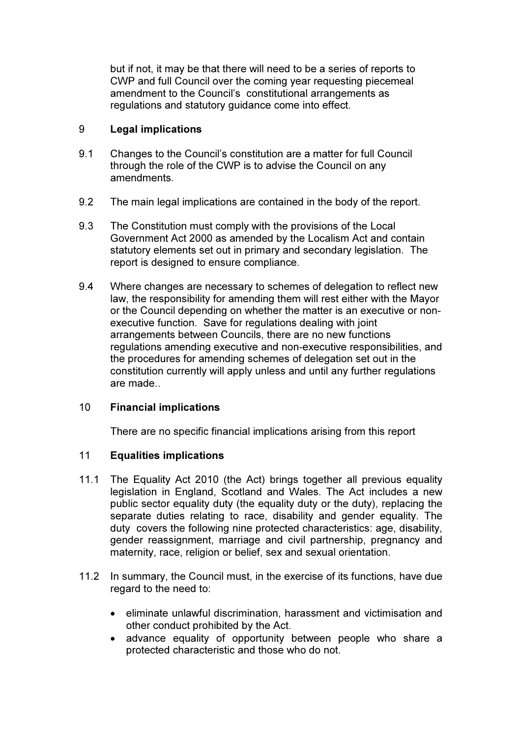but if not, it may be that there will need to be a series of reports to CWP and full Council over the coming year requesting piecemeal amendment to the Council's constitutional arrangements as regulations and statutory guidance come into effect.

## 9 Legal implications

- 9.1 Changes to the Council's constitution are a matter for full Council through the role of the CWP is to advise the Council on any amendments.
- 9.2 The main legal implications are contained in the body of the report.
- 9.3 The Constitution must comply with the provisions of the Local Government Act 2000 as amended by the Localism Act and contain statutory elements set out in primary and secondary legislation. The report is designed to ensure compliance.
- 9.4 Where changes are necessary to schemes of delegation to reflect new law, the responsibility for amending them will rest either with the Mayor or the Council depending on whether the matter is an executive or nonexecutive function. Save for regulations dealing with joint arrangements between Councils, there are no new functions regulations amending executive and non-executive responsibilities, and the procedures for amending schemes of delegation set out in the constitution currently will apply unless and until any further regulations are made..

## 10 Financial implications

There are no specific financial implications arising from this report

## 11 Equalities implications

- 11.1 The Equality Act 2010 (the Act) brings together all previous equality legislation in England, Scotland and Wales. The Act includes a new public sector equality duty (the equality duty or the duty), replacing the separate duties relating to race, disability and gender equality. The duty covers the following nine protected characteristics: age, disability, gender reassignment, marriage and civil partnership, pregnancy and maternity, race, religion or belief, sex and sexual orientation.
- 11.2 In summary, the Council must, in the exercise of its functions, have due regard to the need to:
	- eliminate unlawful discrimination, harassment and victimisation and other conduct prohibited by the Act.
	- advance equality of opportunity between people who share a protected characteristic and those who do not.